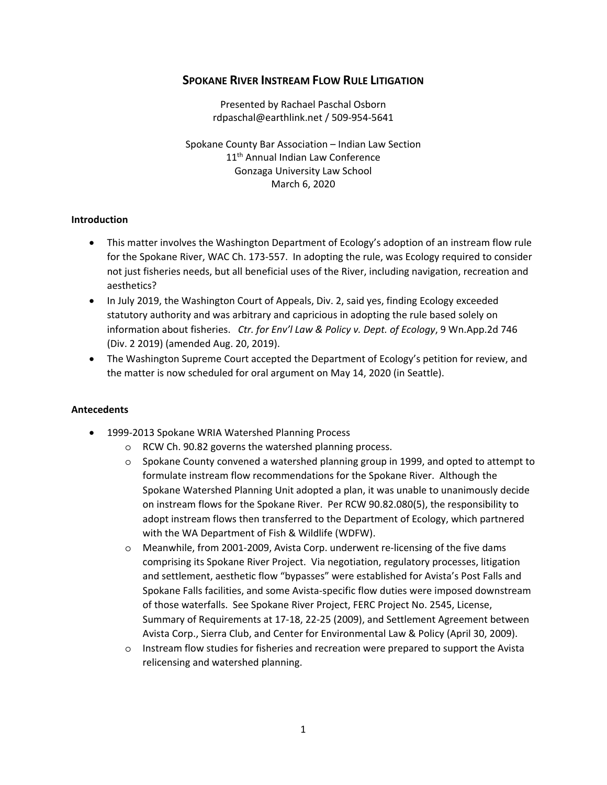# **SPOKANE RIVER INSTREAM FLOW RULE LITIGATION**

Presented by Rachael Paschal Osborn rdpaschal@earthlink.net / 509‐954‐5641

Spokane County Bar Association – Indian Law Section 11<sup>th</sup> Annual Indian Law Conference Gonzaga University Law School March 6, 2020

#### **Introduction**

- This matter involves the Washington Department of Ecology's adoption of an instream flow rule for the Spokane River, WAC Ch. 173‐557. In adopting the rule, was Ecology required to consider not just fisheries needs, but all beneficial uses of the River, including navigation, recreation and aesthetics?
- In July 2019, the Washington Court of Appeals, Div. 2, said yes, finding Ecology exceeded statutory authority and was arbitrary and capricious in adopting the rule based solely on information about fisheries. *Ctr. for Env'l Law & Policy v. Dept. of Ecology*, 9 Wn.App.2d 746 (Div. 2 2019) (amended Aug. 20, 2019).
- The Washington Supreme Court accepted the Department of Ecology's petition for review, and the matter is now scheduled for oral argument on May 14, 2020 (in Seattle).

#### **Antecedents**

- 1999-2013 Spokane WRIA Watershed Planning Process
	- o RCW Ch. 90.82 governs the watershed planning process.
	- o Spokane County convened a watershed planning group in 1999, and opted to attempt to formulate instream flow recommendations for the Spokane River. Although the Spokane Watershed Planning Unit adopted a plan, it was unable to unanimously decide on instream flows for the Spokane River. Per RCW 90.82.080(5), the responsibility to adopt instream flows then transferred to the Department of Ecology, which partnered with the WA Department of Fish & Wildlife (WDFW).
	- o Meanwhile, from 2001‐2009, Avista Corp. underwent re‐licensing of the five dams comprising its Spokane River Project. Via negotiation, regulatory processes, litigation and settlement, aesthetic flow "bypasses" were established for Avista's Post Falls and Spokane Falls facilities, and some Avista‐specific flow duties were imposed downstream of those waterfalls. See Spokane River Project, FERC Project No. 2545, License, Summary of Requirements at 17‐18, 22‐25 (2009), and Settlement Agreement between Avista Corp., Sierra Club, and Center for Environmental Law & Policy (April 30, 2009).
	- o Instream flow studies for fisheries and recreation were prepared to support the Avista relicensing and watershed planning.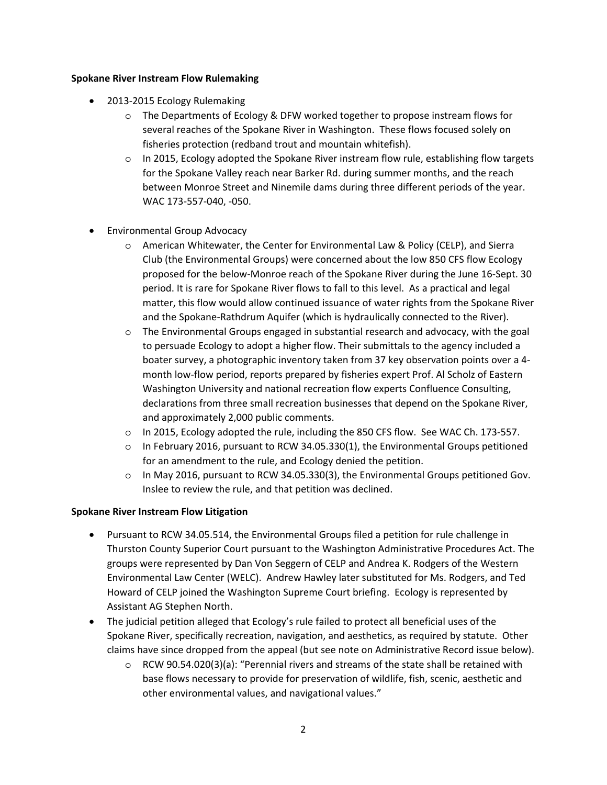#### **Spokane River Instream Flow Rulemaking**

- 2013-2015 Ecology Rulemaking
	- o The Departments of Ecology & DFW worked together to propose instream flows for several reaches of the Spokane River in Washington. These flows focused solely on fisheries protection (redband trout and mountain whitefish).
	- o In 2015, Ecology adopted the Spokane River instream flow rule, establishing flow targets for the Spokane Valley reach near Barker Rd. during summer months, and the reach between Monroe Street and Ninemile dams during three different periods of the year. WAC 173‐557‐040, ‐050.
- **•** Environmental Group Advocacy
	- o American Whitewater, the Center for Environmental Law & Policy (CELP), and Sierra Club (the Environmental Groups) were concerned about the low 850 CFS flow Ecology proposed for the below‐Monroe reach of the Spokane River during the June 16‐Sept. 30 period. It is rare for Spokane River flows to fall to this level. As a practical and legal matter, this flow would allow continued issuance of water rights from the Spokane River and the Spokane‐Rathdrum Aquifer (which is hydraulically connected to the River).
	- o The Environmental Groups engaged in substantial research and advocacy, with the goal to persuade Ecology to adopt a higher flow. Their submittals to the agency included a boater survey, a photographic inventory taken from 37 key observation points over a 4‐ month low‐flow period, reports prepared by fisheries expert Prof. Al Scholz of Eastern Washington University and national recreation flow experts Confluence Consulting, declarations from three small recreation businesses that depend on the Spokane River, and approximately 2,000 public comments.
	- o In 2015, Ecology adopted the rule, including the 850 CFS flow. See WAC Ch. 173‐557.
	- o In February 2016, pursuant to RCW 34.05.330(1), the Environmental Groups petitioned for an amendment to the rule, and Ecology denied the petition.
	- o In May 2016, pursuant to RCW 34.05.330(3), the Environmental Groups petitioned Gov. Inslee to review the rule, and that petition was declined.

## **Spokane River Instream Flow Litigation**

- Pursuant to RCW 34.05.514, the Environmental Groups filed a petition for rule challenge in Thurston County Superior Court pursuant to the Washington Administrative Procedures Act. The groups were represented by Dan Von Seggern of CELP and Andrea K. Rodgers of the Western Environmental Law Center (WELC). Andrew Hawley later substituted for Ms. Rodgers, and Ted Howard of CELP joined the Washington Supreme Court briefing. Ecology is represented by Assistant AG Stephen North.
- The judicial petition alleged that Ecology's rule failed to protect all beneficial uses of the Spokane River, specifically recreation, navigation, and aesthetics, as required by statute. Other claims have since dropped from the appeal (but see note on Administrative Record issue below).
	- o RCW 90.54.020(3)(a): "Perennial rivers and streams of the state shall be retained with base flows necessary to provide for preservation of wildlife, fish, scenic, aesthetic and other environmental values, and navigational values."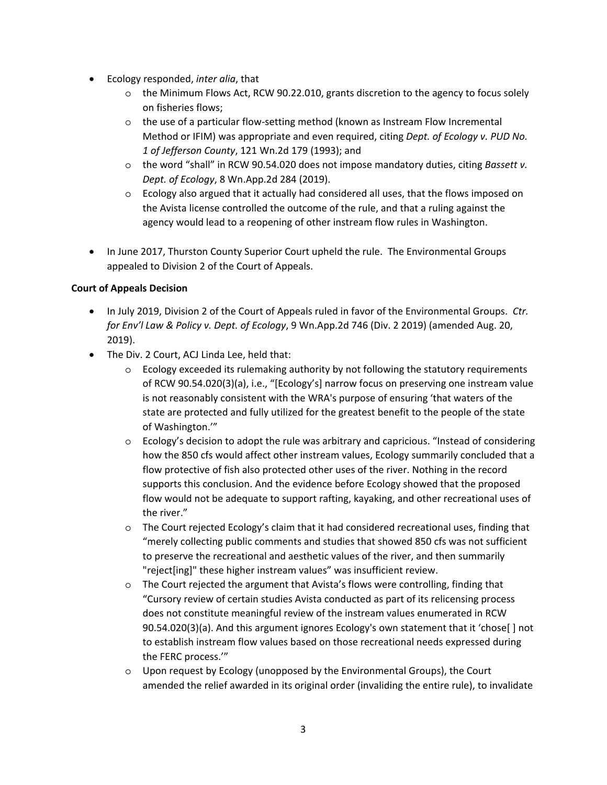- Ecology responded, *inter alia*, that
	- o the Minimum Flows Act, RCW 90.22.010, grants discretion to the agency to focus solely on fisheries flows;
	- o the use of a particular flow‐setting method (known as Instream Flow Incremental Method or IFIM) was appropriate and even required, citing *Dept. of Ecology v. PUD No. 1 of Jefferson County*, 121 Wn.2d 179 (1993); and
	- o the word "shall" in RCW 90.54.020 does not impose mandatory duties, citing *Bassett v. Dept. of Ecology*, 8 Wn.App.2d 284 (2019).
	- o Ecology also argued that it actually had considered all uses, that the flows imposed on the Avista license controlled the outcome of the rule, and that a ruling against the agency would lead to a reopening of other instream flow rules in Washington.
- In June 2017, Thurston County Superior Court upheld the rule. The Environmental Groups appealed to Division 2 of the Court of Appeals.

## **Court of Appeals Decision**

- In July 2019, Division 2 of the Court of Appeals ruled in favor of the Environmental Groups. *Ctr. for Env'l Law & Policy v. Dept. of Ecology*, 9 Wn.App.2d 746 (Div. 2 2019) (amended Aug. 20, 2019).
- The Div. 2 Court, ACJ Linda Lee, held that:
	- $\circ$  Ecology exceeded its rulemaking authority by not following the statutory requirements of RCW 90.54.020(3)(a), i.e., "[Ecology's] narrow focus on preserving one instream value is not reasonably consistent with the WRA's purpose of ensuring 'that waters of the state are protected and fully utilized for the greatest benefit to the people of the state of Washington.'"
	- o Ecology's decision to adopt the rule was arbitrary and capricious. "Instead of considering how the 850 cfs would affect other instream values, Ecology summarily concluded that a flow protective of fish also protected other uses of the river. Nothing in the record supports this conclusion. And the evidence before Ecology showed that the proposed flow would not be adequate to support rafting, kayaking, and other recreational uses of the river."
	- o The Court rejected Ecology's claim that it had considered recreational uses, finding that "merely collecting public comments and studies that showed 850 cfs was not sufficient to preserve the recreational and aesthetic values of the river, and then summarily "reject[ing]" these higher instream values" was insufficient review.
	- o The Court rejected the argument that Avista's flows were controlling, finding that "Cursory review of certain studies Avista conducted as part of its relicensing process does not constitute meaningful review of the instream values enumerated in RCW 90.54.020(3)(a). And this argument ignores Ecology's own statement that it 'chose[ ] not to establish instream flow values based on those recreational needs expressed during the FERC process.'"
	- o Upon request by Ecology (unopposed by the Environmental Groups), the Court amended the relief awarded in its original order (invaliding the entire rule), to invalidate